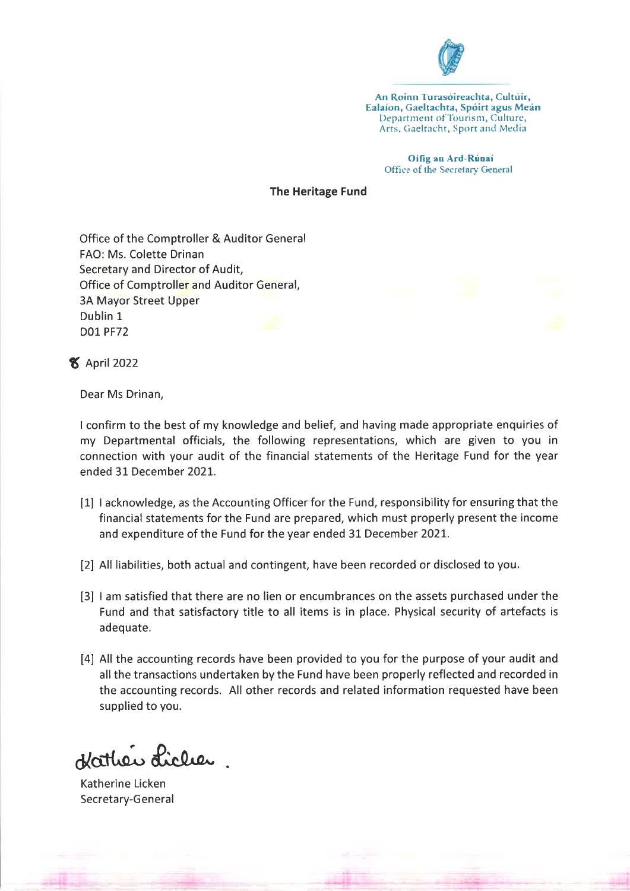

An Roinn Turasóireachta, Cultúir, Ealaíon, Gaeltachta, Spóirt agus Meán Department of Tourism, Culture, Arts, Gaeltacht, Sport and Media

> Oifig an Ard-Rúnaí Office of the Secretary General

## **The Heritage Fund**

Office of the Comptroller & Auditor General FAO: Ms. Colette Drinan Secretary and Director of Audit, Office of Comptroller and Auditor General, **3A Mayor Street Upper** Dublin 1 **D01 PF72** 

**8** April 2022

Dear Ms Drinan,

I confirm to the best of my knowledge and belief, and having made appropriate enquiries of my Departmental officials, the following representations, which are given to you in connection with your audit of the financial statements of the Heritage Fund for the year ended 31 December 2021.

- [1] I acknowledge, as the Accounting Officer for the Fund, responsibility for ensuring that the financial statements for the Fund are prepared, which must properly present the income and expenditure of the Fund for the year ended 31 December 2021.
- [2] All liabilities, both actual and contingent, have been recorded or disclosed to you,
- [3] I am satisfied that there are no lien or encumbrances on the assets purchased under the Fund and that satisfactory title to all items is in place. Physical security of artefacts is adequate.
- [4] All the accounting records have been provided to you for the purpose of your audit and all the transactions undertaken by the Fund have been properly reflected and recorded in the accounting records. All other records and related information requested have been supplied to you.

Hather Licher.

Katherine Licken Secretary-General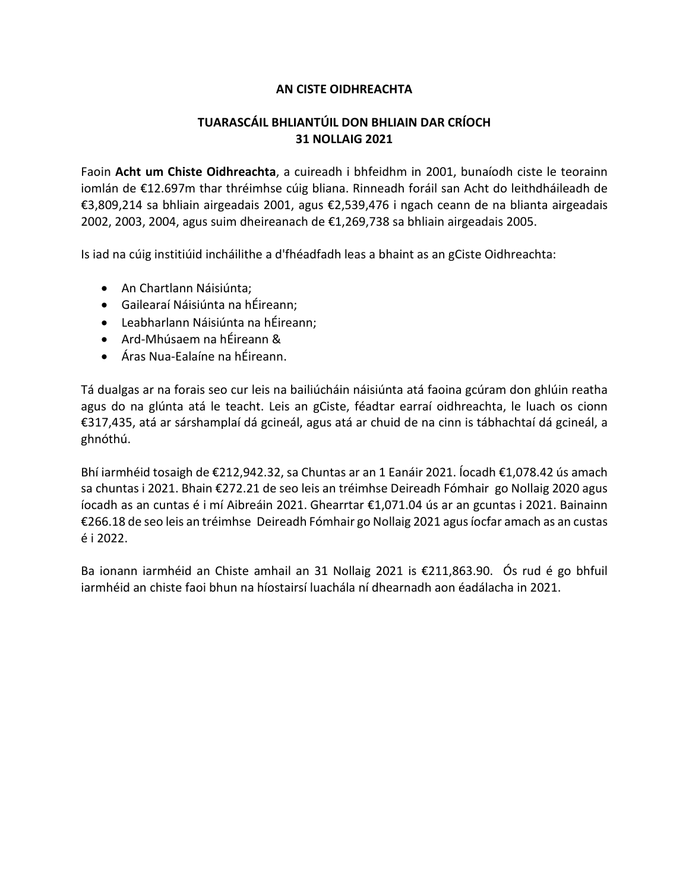## **TUARASCÁIL BHLIANTÚIL DON BHLIAIN DAR CRÍOCH 31 NOLLAIG 2021**

Faoin **Acht um Chiste Oidhreachta**, a cuireadh i bhfeidhm in 2001, bunaíodh ciste le teorainn iomlán de €12.697m thar thréimhse cúig bliana. Rinneadh foráil san Acht do leithdháileadh de €3,809,214 sa bhliain airgeadais 2001, agus €2,539,476 i ngach ceann de na blianta airgeadais 2002, 2003, 2004, agus suim dheireanach de €1,269,738 sa bhliain airgeadais 2005.

Is iad na cúig institiúid incháilithe a d'fhéadfadh leas a bhaint as an gCiste Oidhreachta:

- An Chartlann Náisiúnta;
- Gailearaí Náisiúnta na hÉireann;
- Leabharlann Náisiúnta na hÉireann;
- Ard-Mhúsaem na hÉireann &
- Áras Nua-Ealaíne na hÉireann.

Tá dualgas ar na forais seo cur leis na bailiúcháin náisiúnta atá faoina gcúram don ghlúin reatha agus do na glúnta atá le teacht. Leis an gCiste, féadtar earraí oidhreachta, le luach os cionn €317,435, atá ar sárshamplaí dá gcineál, agus atá ar chuid de na cinn is tábhachtaí dá gcineál, a ghnóthú.

Bhí iarmhéid tosaigh de €212,942.32, sa Chuntas ar an 1 Eanáir 2021. Íocadh €1,078.42 ús amach sa chuntas i 2021. Bhain €272.21 de seo leis an tréimhse Deireadh Fómhair go Nollaig 2020 agus íocadh as an cuntas é i mí Aibreáin 2021. Ghearrtar €1,071.04 ús ar an gcuntas i 2021. Bainainn €266.18 de seo leis an tréimhse Deireadh Fómhair go Nollaig 2021 agus íocfar amach as an custas é i 2022.

Ba ionann iarmhéid an Chiste amhail an 31 Nollaig 2021 is €211,863.90. Ós rud é go bhfuil iarmhéid an chiste faoi bhun na híostairsí luachála ní dhearnadh aon éadálacha in 2021.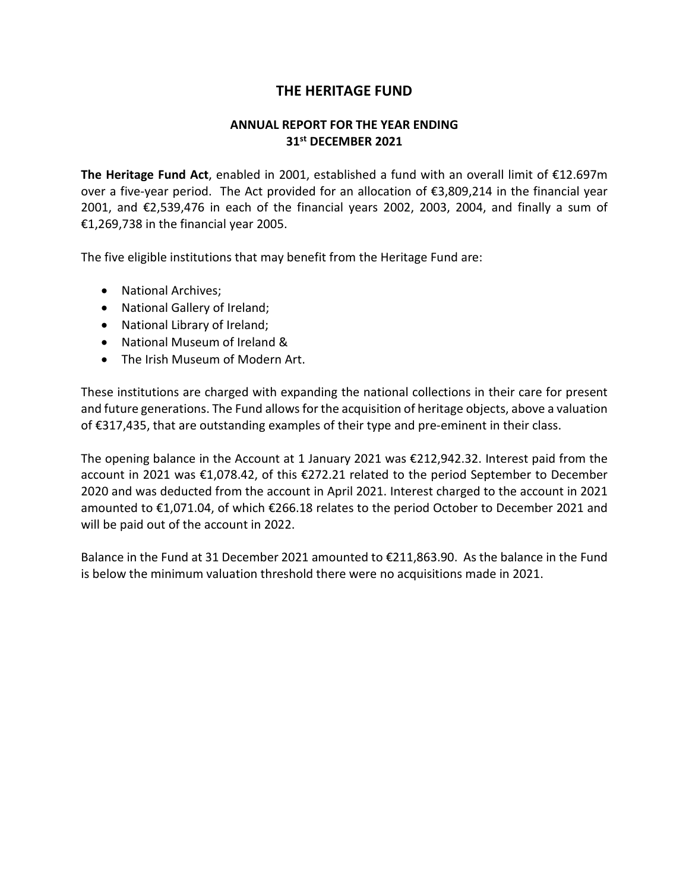## **ANNUAL REPORT FOR THE YEAR ENDING 31st DECEMBER 2021**

**The Heritage Fund Act**, enabled in 2001, established a fund with an overall limit of €12.697m over a five-year period. The Act provided for an allocation of €3,809,214 in the financial year 2001, and €2,539,476 in each of the financial years 2002, 2003, 2004, and finally a sum of €1,269,738 in the financial year 2005.

The five eligible institutions that may benefit from the Heritage Fund are:

- National Archives;
- National Gallery of Ireland;
- National Library of Ireland;
- National Museum of Ireland &
- The Irish Museum of Modern Art.

These institutions are charged with expanding the national collections in their care for present and future generations. The Fund allows for the acquisition of heritage objects, above a valuation of €317,435, that are outstanding examples of their type and pre-eminent in their class.

The opening balance in the Account at 1 January 2021 was €212,942.32. Interest paid from the account in 2021 was €1,078.42, of this €272.21 related to the period September to December 2020 and was deducted from the account in April 2021. Interest charged to the account in 2021 amounted to €1,071.04, of which €266.18 relates to the period October to December 2021 and will be paid out of the account in 2022.

Balance in the Fund at 31 December 2021 amounted to €211,863.90. As the balance in the Fund is below the minimum valuation threshold there were no acquisitions made in 2021.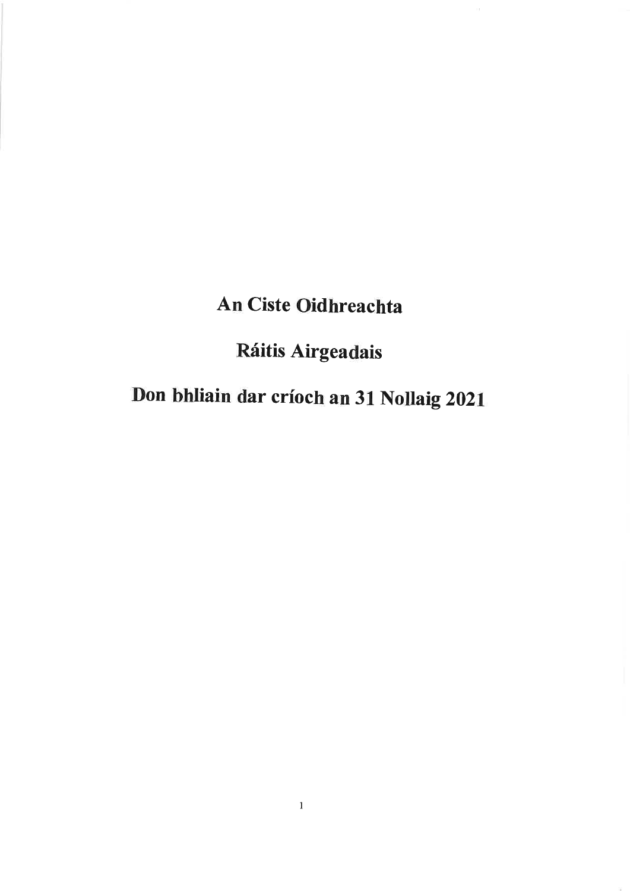## An Ciste Oidhreachta

## Ráitis Airgeadais

# Don bhliain dar críoch an 31 Nollaig 2021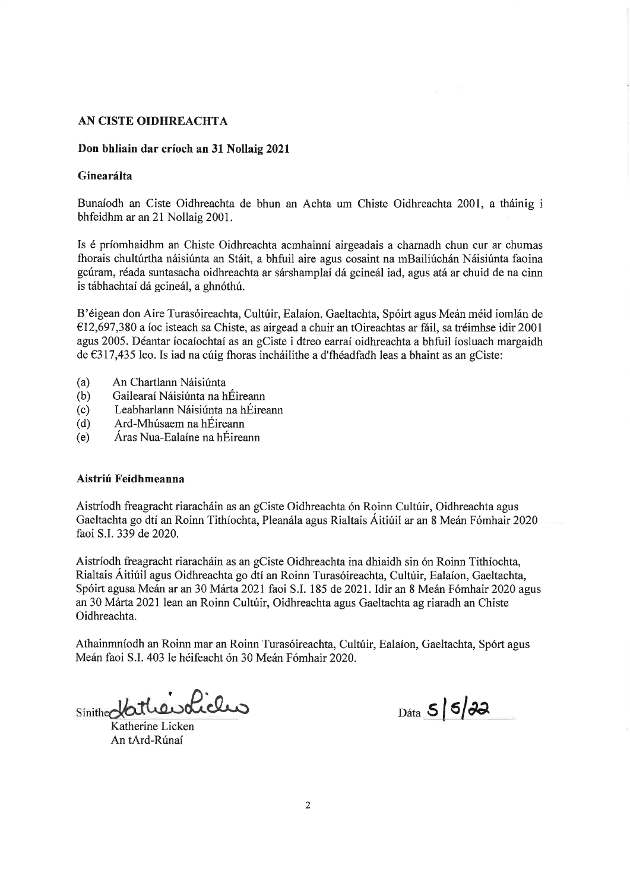#### Don bhliain dar críoch an 31 Nollaig 2021

#### Ginearálta

Bunaíodh an Ciste Oidhreachta de bhun an Achta um Chiste Oidhreachta 2001, a tháinig i bhfeidhm ar an 21 Nollaig 2001.

Is é príomhaidhm an Chiste Oidhreachta aomhainní airgeadais a charnadh chun cur ar chumas fhorais chultúrtha náisiúnta an Stáit, a bhfuil aire agus cosaint na mBailiúchán Náisiúnta faoina gcúram, réada suntasacha oidhreachta ar sárshamplaí dá gcineál iad, agus atá ar chuid de na cinn is tábhachtaí dá gcineál, a ghnóthú.

B'éigean don Aire Turasóireachta, Cultúir, Ealaíon. Gaeltachta, Spóirt agus Meán méid iomlán de €12,697,380 a íoc isteach sa Chiste, as airgead a chuir an tOireachtas ar fáil, sa tréimhse idir 2001 agus 2005. Déantar íocaíochtaí as an gCiste i dtreo earraí oidhreachta a bhfuil íosluach margaidh de €317,435 leo. Is iad na cúig fhoras incháilithe a d'fhéadfadh leas a bhaint as an gCiste:

- An Chartlann Náisiúnta  $(a)$
- Gailearaí Náisiúnta na hÉireann  $(b)$
- Leabharlann Náisiúnta na hÉireann  $(c)$
- Ard-Mhúsaem na hÉireann  $(d)$
- Áras Nua-Ealaíne na hÉireann  $(e)$

#### Aistriú Feidhmeanna

Aistríodh freagracht riaracháin as an gCiste Oidhreachta ón Roinn Cultúir, Oidhreachta agus Gaeltachta go dtí an Roinn Tithíochta, Pleanála agus Rialtais Áitiúil ar an 8 Meán Fómhair 2020 faoi S.I. 339 de 2020.

Aistríodh freagracht riaracháin as an gCiste Oidhreachta ina dhiaidh sin ón Roinn Tithíochta, Rialtais Áitiúil agus Oidhreachta go dtí an Roinn Turasóireachta, Cultúir, Ealaíon, Gaeltachta, Spóirt agusa Meán ar an 30 Márta 2021 faoi S.I. 185 de 2021. Idir an 8 Meán Fómhair 2020 agus an 30 Márta 2021 lean an Roinn Cultúir, Oidhreachta agus Gaeltachta ag riaradh an Chiste Oidhreachta.

Athainmníodh an Roinn mar an Roinn Turasóireachta, Cultúir, Ealaíon, Gaeltachta, Spórt agus Meán faoi S.I. 403 le héifeacht ón 30 Meán Fómhair 2020.

sinithedatherolicles

Katherine Licken An tArd-Rúnaí

 $_{\text{Dáta}}$  5 5  $32$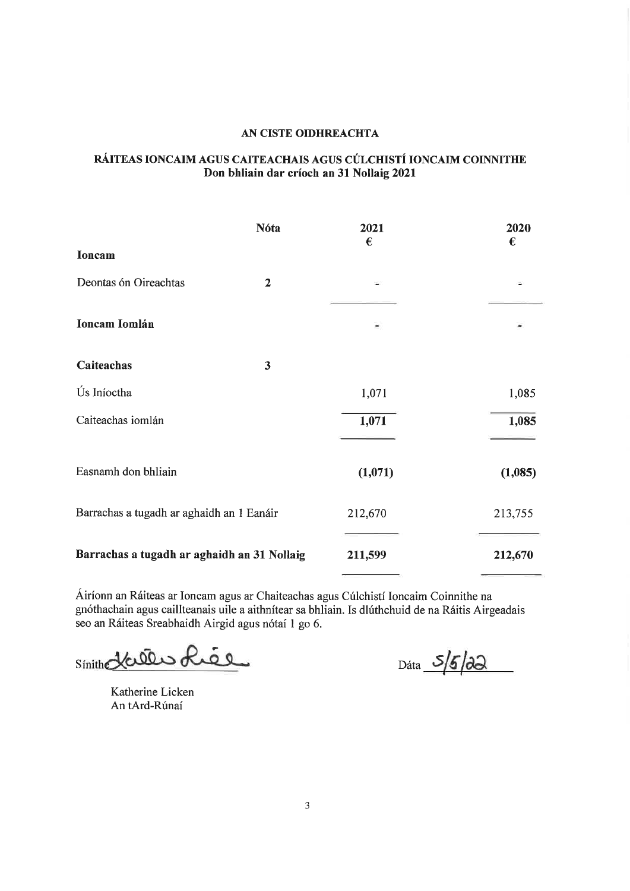### RÁITEAS IONCAIM AGUS CAITEACHAIS AGUS CÚLCHISTÍ IONCAIM COINNITHE Don bhliain dar críoch an 31 Nollaig 2021

|                                             | <b>Nóta</b>             | 2021<br>€ | 2020<br>€ |
|---------------------------------------------|-------------------------|-----------|-----------|
| Ioncam                                      |                         |           |           |
| Deontas ón Oireachtas                       | $\overline{2}$          |           |           |
| Ioncam Iomlán                               |                         |           |           |
| Caiteachas                                  | $\overline{\mathbf{3}}$ |           |           |
| Ús Iníoctha                                 |                         | 1,071     | 1,085     |
| Caiteachas iomlán                           |                         | 1,071     | 1,085     |
| Easnamh don bhliain                         |                         | (1,071)   | (1,085)   |
| Barrachas a tugadh ar aghaidh an 1 Eanáir   |                         | 212,670   | 213,755   |
| Barrachas a tugadh ar aghaidh an 31 Nollaig |                         | 211,599   | 212,670   |

Áiríonn an Ráiteas ar Ioncam agus ar Chaiteachas agus Cúlchistí Ioncaim Coinnithe na gnóthachain agus caillteanais uile a aithnítear sa bhliain. Is dlúthchuid de na Ráitis Airgeadais seo an Ráiteas Sreabhaidh Airgid agus nótaí 1 go 6.

Sinith Halles Liee

 $Dáta$   $S/6/2$ 

Katherine Licken An tArd-Rúnaí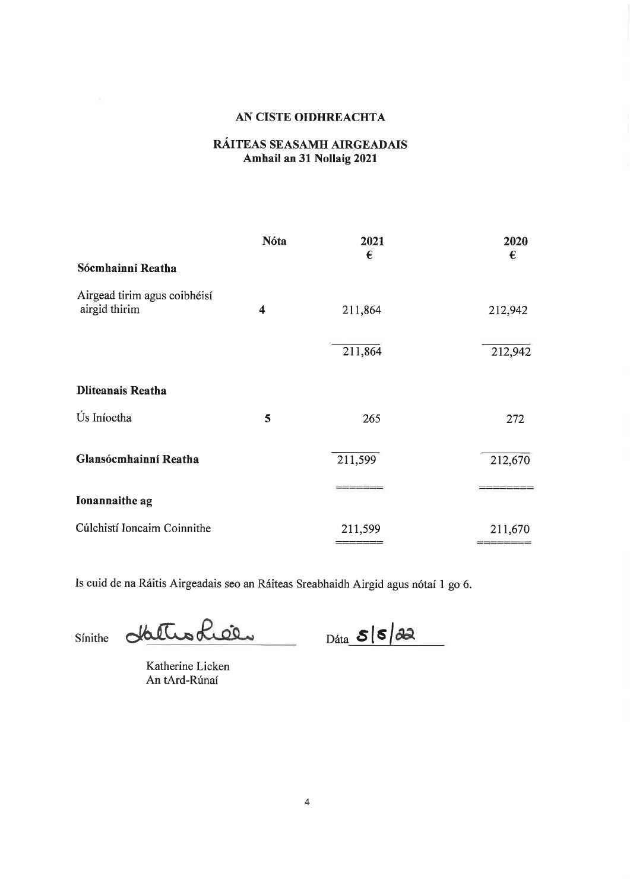## RÁITEAS SEASAMH AIRGEADAIS Amhail an 31 Nollaig 2021

|                                               | Nóta             | 2021       | 2020           |
|-----------------------------------------------|------------------|------------|----------------|
| Sócmhainní Reatha                             |                  | $\epsilon$ | $\epsilon$     |
| Airgead tirim agus coibhéisí<br>airgid thirim | $\boldsymbol{4}$ | 211,864    | 212,942        |
|                                               |                  | 211,864    | 212,942        |
| <b>Dliteanais Reatha</b>                      |                  |            |                |
| Ús Iníoctha                                   | 5                | 265        | 272            |
| Glansócmhainní Reatha                         |                  | 211,599    | 212,670        |
| Ionannaithe ag                                |                  |            |                |
| Cúlchistí Ioncaim Coinnithe                   |                  | 211,599    | 211,670<br>=== |

Is cuid de na Ráitis Airgeadais seo an Ráiteas Sreabhaidh Airgid agus nótaí 1 go 6.

dattrodicer Sínithe

 $Dáta$   $S(S)$ 

Katherine Licken An tArd-Rúnaí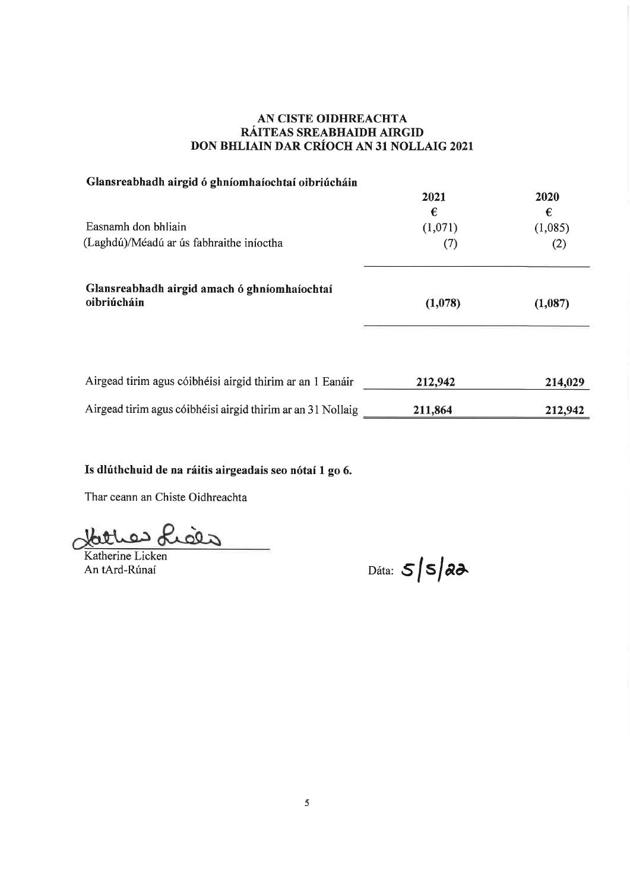## AN CISTE OIDHREACHTA RÁITEAS SREABHAIDH AIRGID DON BHLIAIN DAR CRÍOCH AN 31 NOLLAIG 2021

| Glansreabhadh airgid ó ghníomhaíochtaí oibriúcháin          |         |         |
|-------------------------------------------------------------|---------|---------|
|                                                             | 2021    | 2020    |
|                                                             | €       | €       |
| Easnamh don bhliain                                         | (1,071) | (1,085) |
| (Laghdú)/Méadú ar ús fabhraithe iníoctha                    | (7)     | (2)     |
| Glansreabhadh airgid amach ó ghníomhaíochtaí<br>oibriúcháin | (1,078) | (1,087) |
| Airgead tirim agus cóibhéisi airgid thirim ar an 1 Eanáir   | 212,942 | 214,029 |
| Airgead tirim agus cóibhéisi airgid thirim ar an 31 Nollaig | 211,864 | 212,942 |

## Is dlúthchuid de na ráitis airgeadais seo nótaí 1 go 6.

Thar ceann an Chiste Oidhreachta

Hather Lices

Katherine Licken An tArd-Rúnaí

Dáta:  $5|s|$ 22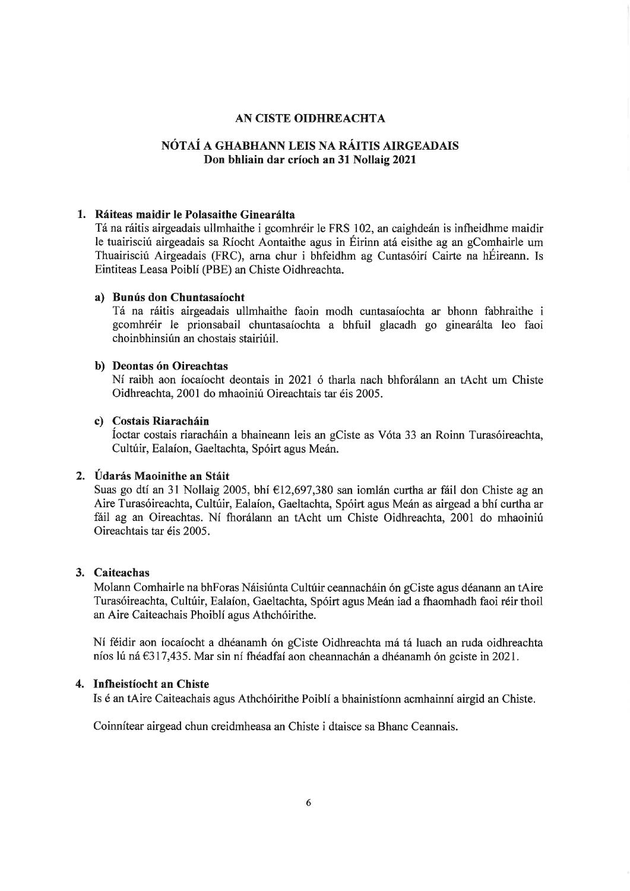## NÓTAÍ A GHABHANN LEIS NA RÁITIS AIRGEADAIS Don bhliain dar críoch an 31 Nollaig 2021

#### 1. Ráiteas maidir le Polasaithe Ginearálta

Tá na ráitis airgeadais ullmhaithe i gcomhréir le FRS 102, an caighdeán is infheidhme maidir le tuairisciú airgeadais sa Ríocht Aontaithe agus in Éirinn atá eisithe ag an gComhairle um Thuairisciú Airgeadais (FRC), arna chur i bhfeidhm ag Cuntasóirí Cairte na hÉireann. Is Eintiteas Leasa Poiblí (PBE) an Chiste Oidhreachta.

#### a) Bunús don Chuntasaíocht

Tá na ráitis airgeadais ullmhaithe faoin modh cuntasaíochta ar bhonn fabhraithe i gcomhréir le prionsabail chuntasaíochta a bhfuil glacadh go ginearálta leo faoi choinbhinsiún an chostais stairiúil.

#### b) Deontas ón Oireachtas

Ní raibh aon íocaíocht deontais in 2021 ó tharla nach bhforálann an tAcht um Chiste Oidhreachta, 2001 do mhaoiniú Oireachtais tar éis 2005.

#### c) Costais Riaracháin

Íoctar costais riaracháin a bhaineann leis an gCiste as Vóta 33 an Roinn Turasóireachta, Cultúir, Ealaíon, Gaeltachta, Spóirt agus Meán.

#### 2. Údarás Maoinithe an Stáit

Suas go dtí an 31 Nollaig 2005, bhí €12,697,380 san iomlán curtha ar fáil don Chiste ag an Aire Turasóireachta, Cultúir, Ealaíon, Gaeltachta, Spóirt agus Meán as airgead a bhí curtha ar fáil ag an Oireachtas. Ní fhorálann an tAcht um Chiste Oidhreachta, 2001 do mhaoiniú Oireachtais tar éis 2005.

#### 3. Caiteachas

Molann Comhairle na bhForas Náisiúnta Cultúir ceannacháin ón gCiste agus déanann an tAire Turasóireachta, Cultúir, Ealaíon, Gaeltachta, Spóirt agus Meán iad a fhaomhadh faoi réir thoil an Aire Caiteachais Phoiblí agus Athchóirithe.

Ní féidir aon íocaíocht a dhéanamh ón gCiste Oidhreachta má tá luach an ruda oidhreachta níos lú ná  $\epsilon$ 317,435. Mar sin ní fhéadfaí aon cheannachán a dhéanamh ón gciste in 2021.

#### 4. Infheistíocht an Chiste

Is é an tAire Caiteachais agus Athchóirithe Poiblí a bhainistíonn acmhainní airgid an Chiste.

Coinnítear airgead chun creidmheasa an Chiste i dtaisce sa Bhanc Ceannais.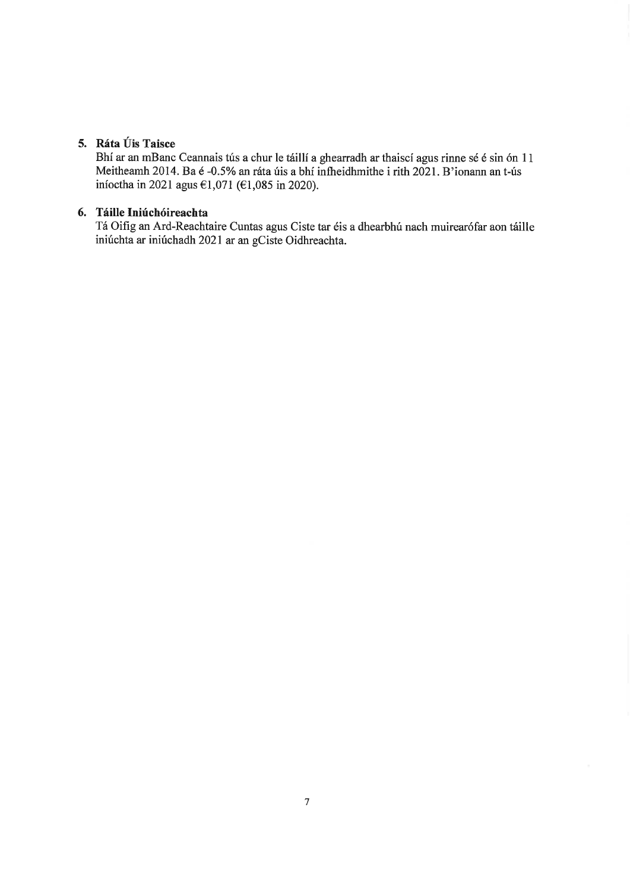## 5. Ráta Úis Taisce

Bhí ar an mBanc Ceannais tús a chur le táillí a ghearradh ar thaiscí agus rinne sé é sin ón 11 Meitheamh 2014. Ba é -0.5% an ráta úis a bhí infheidhmithe i rith 2021. B'ionann an t-ús iníoctha in 2021 agus  $61,071$  ( $61,085$  in 2020).

## 6. Táille Iniúchóireachta

Tá Oifig an Ard-Reachtaire Cuntas agus Ciste tar éis a dhearbhú nach muirearófar aon táille iniúchta ar iniúchadh 2021 ar an gCiste Oidhreachta.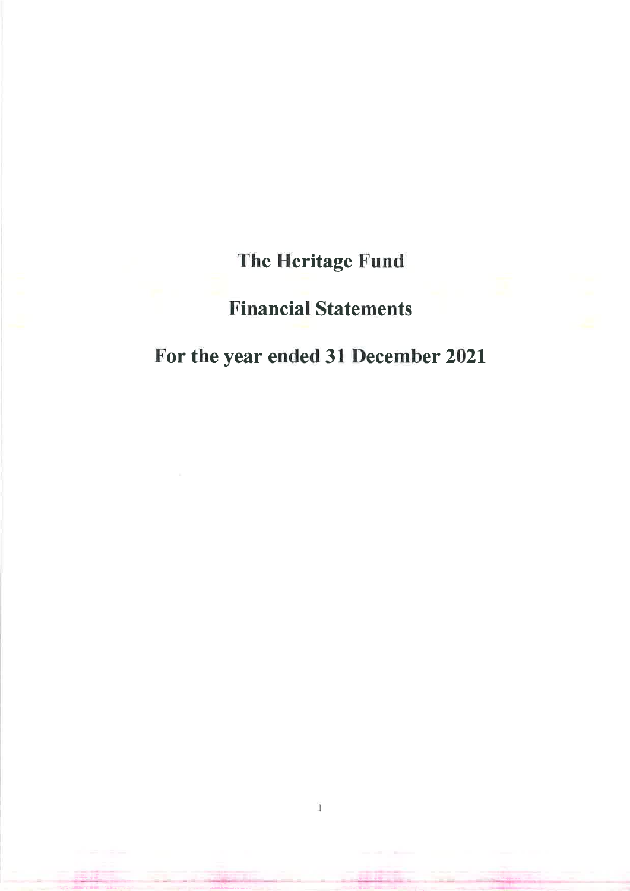The Heritage Fund

## **Financial Statements**

## For the year ended 31 December 2021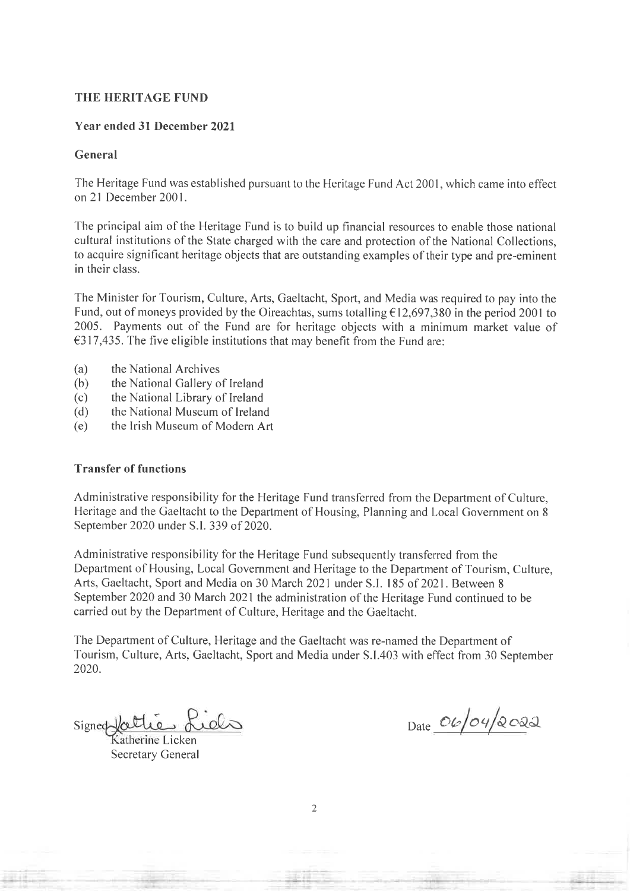#### **Year ended 31 December 2021**

#### General

The Heritage Fund was established pursuant to the Heritage Fund Act 2001, which came into effect on 21 December 2001.

The principal aim of the Heritage Fund is to build up financial resources to enable those national cultural institutions of the State charged with the care and protection of the National Collections. to acquire significant heritage objects that are outstanding examples of their type and pre-eminent in their class.

The Minister for Tourism, Culture, Arts, Gaeltacht, Sport, and Media was required to pay into the Fund, out of moneys provided by the Oireachtas, sums totalling  $\epsilon$ 12,697,380 in the period 2001 to 2005. Payments out of the Fund are for heritage objects with a minimum market value of  $\epsilon$ 317,435. The five eligible institutions that may benefit from the Fund are:

- $(a)$ the National Archives
- the National Gallery of Ireland  $(b)$
- the National Library of Ireland  $(c)$
- the National Museum of Ireland  $(d)$
- the Irish Museum of Modern Art  $(e)$

## **Transfer of functions**

Administrative responsibility for the Heritage Fund transferred from the Department of Culture, Heritage and the Gaeltacht to the Department of Housing, Planning and Local Government on 8 September 2020 under S.I. 339 of 2020.

Administrative responsibility for the Heritage Fund subsequently transferred from the Department of Housing, Local Government and Heritage to the Department of Tourism, Culture, Arts, Gaeltacht, Sport and Media on 30 March 2021 under S.I. 185 of 2021. Between 8 September 2020 and 30 March 2021 the administration of the Heritage Fund continued to be carried out by the Department of Culture, Heritage and the Gaeltacht.

The Department of Culture, Heritage and the Gaeltacht was re-named the Department of Tourism, Culture, Arts, Gaeltacht, Sport and Media under S.I.403 with effect from 30 September 2020.

Signed fattie Lids

therine Licken **Secretary General** 

Date  $O6/O4/2022$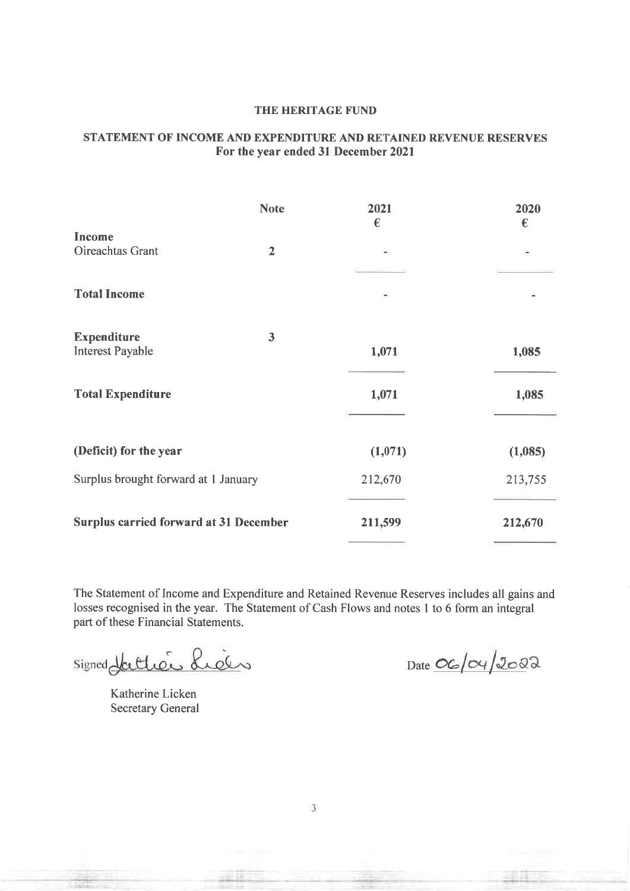## STATEMENT OF INCOME AND EXPENDITURE AND RETAINED REVENUE RESERVES For the year ended 31 December 2021

|                                               | <b>Note</b>    | 2021<br>€                | 2020<br>€ |
|-----------------------------------------------|----------------|--------------------------|-----------|
| Income                                        |                |                          |           |
| Oireachtas Grant                              | $\overline{2}$ | $\overline{\phantom{a}}$ | ۳         |
|                                               |                |                          |           |
| <b>Total Income</b>                           |                |                          |           |
| <b>Expenditure</b>                            | 3              |                          |           |
| <b>Interest Payable</b>                       |                | 1,071                    | 1,085     |
| <b>Total Expenditure</b>                      |                | 1,071                    | 1,085     |
| (Deficit) for the year                        |                | (1,071)                  | (1,085)   |
| Surplus brought forward at 1 January          |                | 212,670                  | 213,755   |
| <b>Surplus carried forward at 31 December</b> |                | 211,599                  | 212,670   |

The Statement of Income and Expenditure and Retained Revenue Reserves includes all gains and losses recognised in the year. The Statement of Cash Flows and notes 1 to 6 form an integral part of these Financial Statements.

Signed Hattier Lieu

Katherine Licken **Secretary General** 

Date  $O6/\alpha/\sqrt{200}$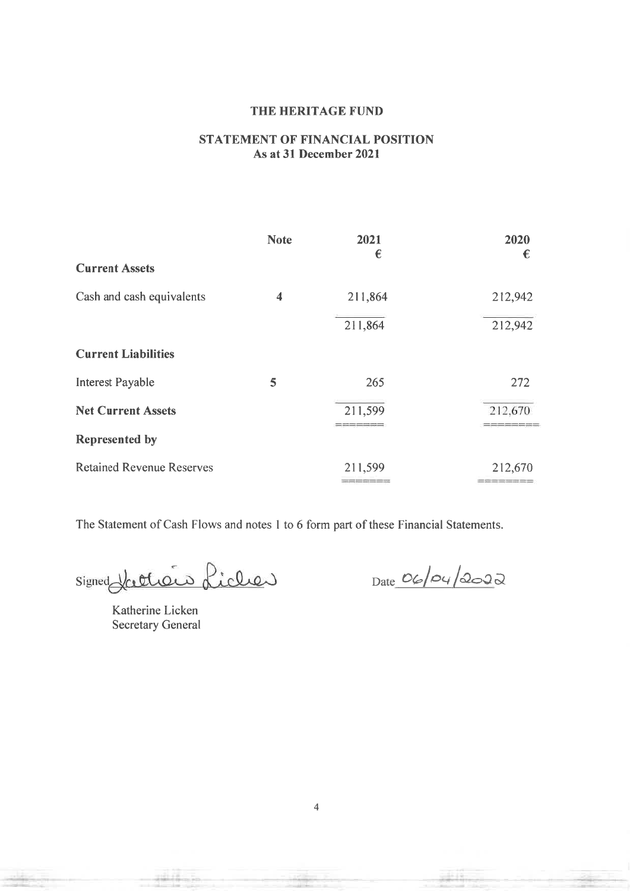## **STATEMENT OF FINANCIAL POSITION** As at 31 December 2021

|                                  | <b>Note</b>          | 2021<br>€ | 2020<br>€                   |
|----------------------------------|----------------------|-----------|-----------------------------|
| <b>Current Assets</b>            |                      |           |                             |
| Cash and cash equivalents        | $\blacktriangleleft$ | 211,864   | 212,942                     |
|                                  |                      | 211,864   | 212,942                     |
| <b>Current Liabilities</b>       |                      |           |                             |
| <b>Interest Payable</b>          | 5                    | 265       | 272                         |
| <b>Net Current Assets</b>        |                      | 211,599   | 212,670                     |
| Represented by                   |                      |           |                             |
| <b>Retained Revenue Reserves</b> |                      | 211,599   | 212,670<br><b>CONSTRUCT</b> |

The Statement of Cash Flows and notes 1 to 6 form part of these Financial Statements.

Signed Ketters Licher

 $Date_0/04/2022$ 

Katherine Licken **Secretary General**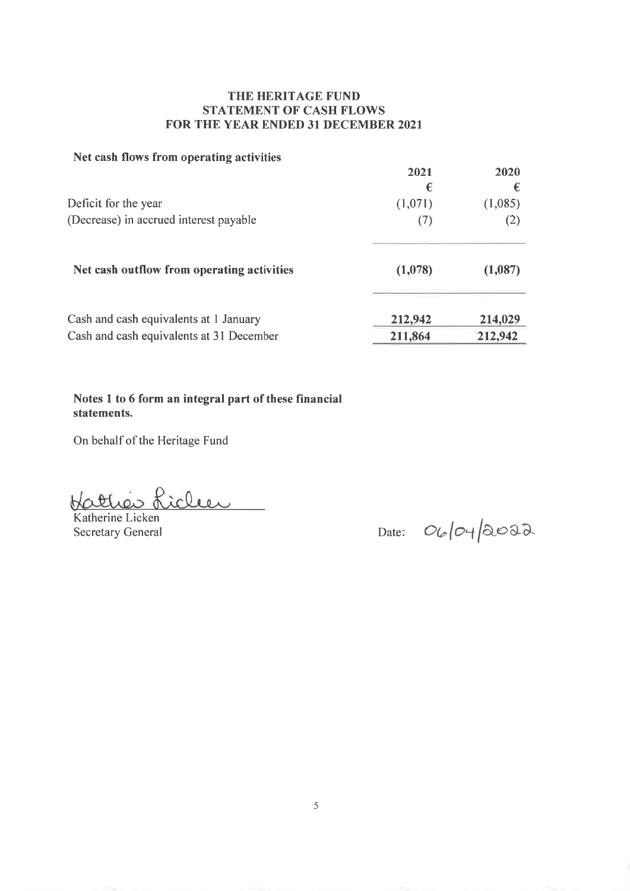## THE HERITAGE FUND **STATEMENT OF CASH FLOWS** FOR THE YEAR ENDED 31 DECEMBER 2021

## Net cash flows from operating activities

|                                            | 2021<br>€ | 2020<br>€ |
|--------------------------------------------|-----------|-----------|
| Deficit for the year                       | (1,071)   | (1,085)   |
| (Decrease) in accrued interest payable     | (7)       | (2)       |
| Net cash outflow from operating activities | (1,078)   | (1,087)   |
| Cash and cash equivalents at 1 January     | 212,942   | 214,029   |
| Cash and cash equivalents at 31 December   | 211,864   | 212,942   |

Notes 1 to 6 form an integral part of these financial statements.

On behalf of the Heritage Fund

Hattier Liclen

Katherine Licken **Secretary General** 

Date:  $O(10 + 2002)$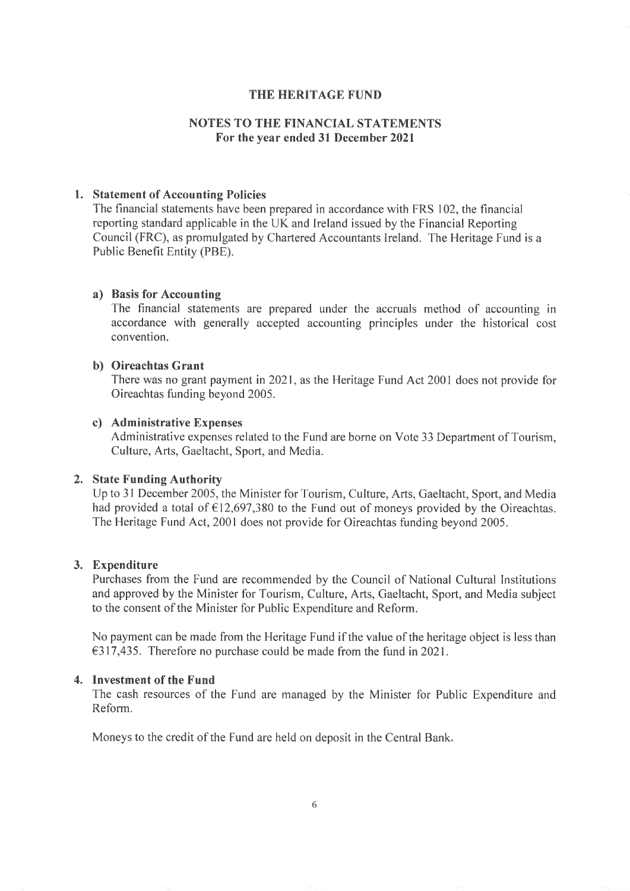## **NOTES TO THE FINANCIAL STATEMENTS** For the year ended 31 December 2021

#### 1. Statement of Accounting Policies

The financial statements have been prepared in accordance with FRS 102, the financial reporting standard applicable in the UK and Ireland issued by the Financial Reporting Council (FRC), as promulgated by Chartered Accountants Ireland. The Heritage Fund is a Public Benefit Entity (PBE).

#### a) Basis for Accounting

The financial statements are prepared under the accruals method of accounting in accordance with generally accepted accounting principles under the historical cost convention.

### b) Oireachtas Grant

There was no grant payment in 2021, as the Heritage Fund Act 2001 does not provide for Oireachtas funding beyond 2005.

## c) Administrative Expenses

Administrative expenses related to the Fund are borne on Vote 33 Department of Tourism, Culture, Arts, Gaeltacht, Sport, and Media.

#### 2. State Funding Authority

Up to 31 December 2005, the Minister for Tourism, Culture, Arts, Gaeltacht, Sport, and Media had provided a total of  $\epsilon$ 12,697,380 to the Fund out of moneys provided by the Oireachtas. The Heritage Fund Act, 2001 does not provide for Oireachtas funding beyond 2005.

#### 3. Expenditure

Purchases from the Fund are recommended by the Council of National Cultural Institutions and approved by the Minister for Tourism, Culture, Arts, Gaeltacht, Sport, and Media subject to the consent of the Minister for Public Expenditure and Reform.

No payment can be made from the Heritage Fund if the value of the heritage object is less than  $\epsilon$ 317,435. Therefore no purchase could be made from the fund in 2021.

#### 4. Investment of the Fund

The cash resources of the Fund are managed by the Minister for Public Expenditure and Reform.

Moneys to the credit of the Fund are held on deposit in the Central Bank.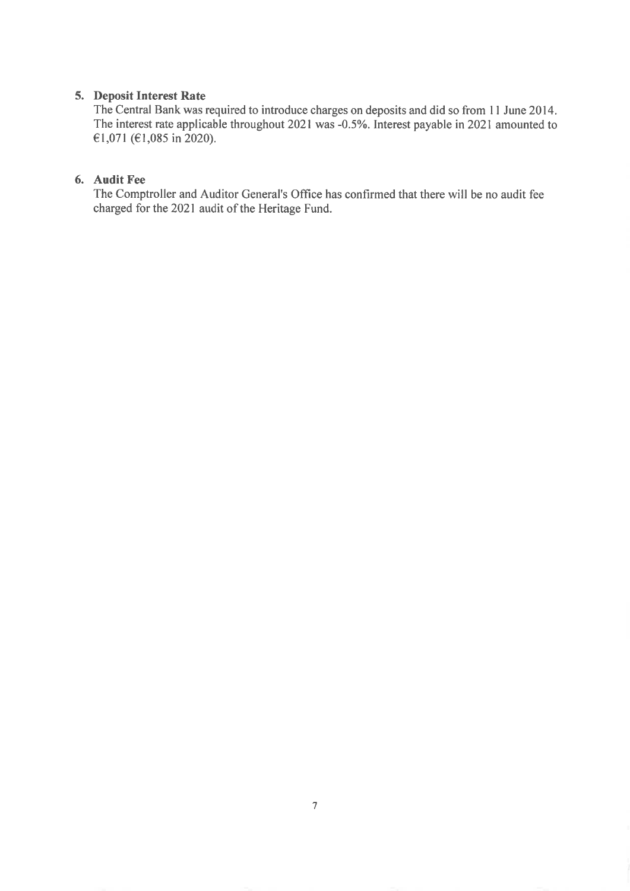## 5. Deposit Interest Rate

The Central Bank was required to introduce charges on deposits and did so from 11 June 2014. The interest rate applicable throughout 2021 was -0.5%. Interest payable in 2021 amounted to €1,071 (€1,085 in 2020).

## 6. Audit Fee

The Comptroller and Auditor General's Office has confirmed that there will be no audit fee charged for the 2021 audit of the Heritage Fund.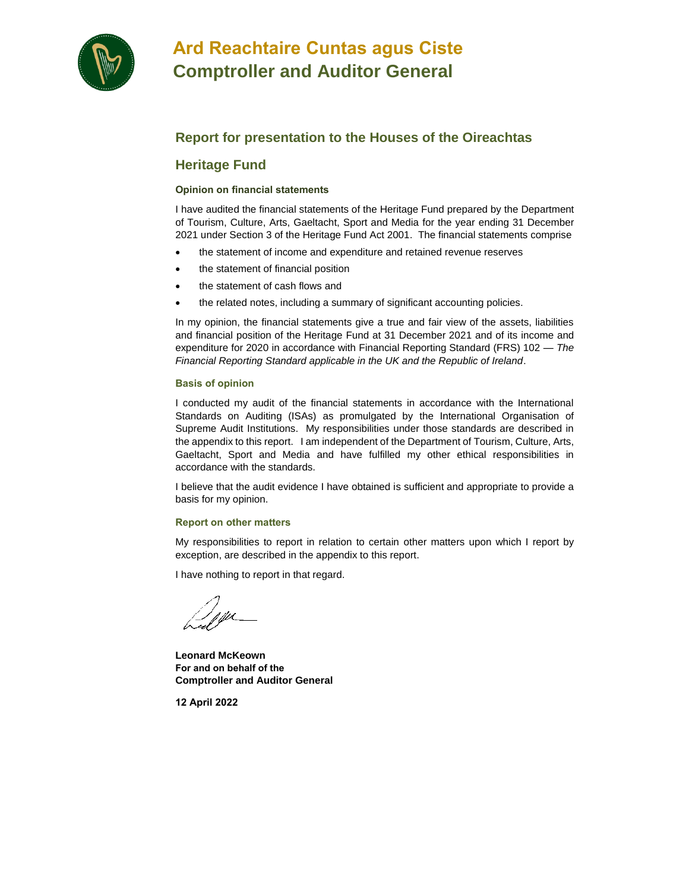

## **Ard Reachtaire Cuntas agus Ciste Comptroller and Auditor General**

## **Report for presentation to the Houses of the Oireachtas**

## **Heritage Fund**

#### **Opinion on financial statements**

I have audited the financial statements of the Heritage Fund prepared by the Department of Tourism, Culture, Arts, Gaeltacht, Sport and Media for the year ending 31 December 2021 under Section 3 of the Heritage Fund Act 2001. The financial statements comprise

- the statement of income and expenditure and retained revenue reserves
- the statement of financial position
- the statement of cash flows and
- the related notes, including a summary of significant accounting policies.

In my opinion, the financial statements give a true and fair view of the assets, liabilities and financial position of the Heritage Fund at 31 December 2021 and of its income and expenditure for 2020 in accordance with Financial Reporting Standard (FRS) 102 — *The Financial Reporting Standard applicable in the UK and the Republic of Ireland*.

#### **Basis of opinion**

I conducted my audit of the financial statements in accordance with the International Standards on Auditing (ISAs) as promulgated by the International Organisation of Supreme Audit Institutions. My responsibilities under those standards are described in the appendix to this report. I am independent of the Department of Tourism, Culture, Arts, Gaeltacht, Sport and Media and have fulfilled my other ethical responsibilities in accordance with the standards.

I believe that the audit evidence I have obtained is sufficient and appropriate to provide a basis for my opinion.

#### **Report on other matters**

My responsibilities to report in relation to certain other matters upon which I report by exception, are described in the appendix to this report.

I have nothing to report in that regard.

**Leonard McKeown For and on behalf of the Comptroller and Auditor General**

**12 April 2022**